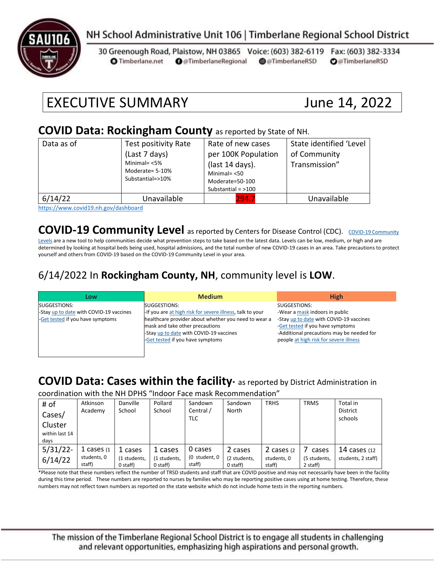

# NH School Administrative Unit 106 | Timberlane Regional School District

30 Greenough Road, Plaistow, NH 03865 Voice: (603) 382-6119 Fax: (603) 382-3334 **O** Timberlane.net **O** @TimberlaneRegional @@TimberlaneRSD **O**@TimberlaneRSD

# EXECUTIVE SUMMARY June 14, 2022

#### **COVID Data: Rockingham County** as reported by State of NH.

| Data as of | Test positivity Rate<br>(Last 7 days)<br>Minimal= $<$ 5%<br>Moderate= 5-10%<br>Substantial=>10% | Rate of new cases<br>per 100K Population<br>(last 14 days).<br>Minimal $=$ <50<br>Moderate=50-100<br>Substantial = $>100$ | State identified 'Level<br>of Community<br>Transmission" |
|------------|-------------------------------------------------------------------------------------------------|---------------------------------------------------------------------------------------------------------------------------|----------------------------------------------------------|
| 6/14/22    | Unavailable                                                                                     | 294.7                                                                                                                     | Unavailable                                              |

<https://www.covid19.nh.gov/dashboard>

## **[COVID-19 Community](https://www.cdc.gov/coronavirus/2019-ncov/science/community-levels.html) Level** as reported by Centers for Disease Control (CDC). COVID-19 Community

[Levels](https://www.cdc.gov/coronavirus/2019-ncov/science/community-levels.html) are a new tool to help communities decide what prevention steps to take based on the latest data. Levels can be low, medium, or high and are determined by looking at hospital beds being used, hospital admissions, and the total number of new COVID-19 cases in an area. Take precautions to protect yourself and others from COVID-19 based on the COVID-19 Community Level in your area.

### 6/14/2022 In **Rockingham County, NH**, community level is **LOW**.

| Low                                     | <b>Medium</b>                                             | <b>High</b>                               |
|-----------------------------------------|-----------------------------------------------------------|-------------------------------------------|
| SUGGESTIONS:                            | SUGGESTIONS:                                              | SUGGESTIONS:                              |
| -Stay up to date with COVID-19 vaccines | -If you are at high risk for severe illness, talk to your | -Wear a mask indoors in public            |
| -Get tested if you have symptoms        | healthcare provider about whether you need to wear a      | -Stay up to date with COVID-19 vaccines   |
|                                         | mask and take other precautions                           | -Get tested if you have symptoms          |
|                                         | -Stay up to date with COVID-19 vaccines                   | -Additional precautions may be needed for |
|                                         | -Get tested if you have symptoms                          | people at high risk for severe illness    |
|                                         |                                                           |                                           |
|                                         |                                                           |                                           |

# **COVID Data: Cases within the facility\*** as reported by District Administration in

coordination with the NH DPHS "Indoor Face mask Recommendation"

| # of<br>Cases/<br>Cluster<br>within last 14<br>days | Atkinson<br>Academy                    | Danville<br>School                  | Pollard<br>School                     | Sandown<br>Central /<br>TLC        | Sandown<br>North                      | <b>TRHS</b>                          | <b>TRMS</b>                       | Total in<br><b>District</b><br>schools |
|-----------------------------------------------------|----------------------------------------|-------------------------------------|---------------------------------------|------------------------------------|---------------------------------------|--------------------------------------|-----------------------------------|----------------------------------------|
| $5/31/22$ -<br>6/14/22                              | 1 cases $(1)$<br>students, 0<br>staff) | 1 cases<br>(1 students,<br>0 staff) | 1 cases<br>(1 students,<br>$0$ staff) | 0 cases<br>(0 student, 0<br>staff) | 2 cases<br>(2 students,<br>$0$ staff) | 2 cases (2)<br>students. 0<br>staff) | cases<br>(5 students,<br>2 staff) | 14 cases $(12)$<br>students, 2 staff)  |

\*Please note that these numbers reflect the number of TRSD students and staff that are COVID positive and may not necessarily have been in the facility during this time period. These numbers are reported to nurses by families who may be reporting positive cases using at home testing. Therefore, these numbers may not reflect town numbers as reported on the state website which do not include home tests in the reporting numbers.

The mission of the Timberlane Regional School District is to engage all students in challenging and relevant opportunities, emphasizing high aspirations and personal growth.